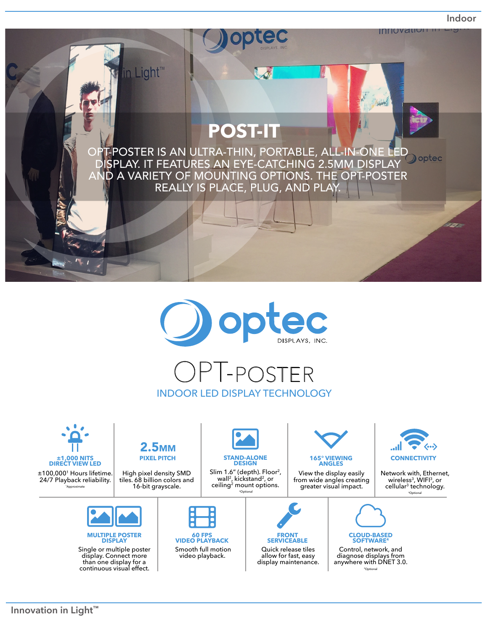**Indoor**





## OPT-poster INDOOR LED DISPLAY TECHNOLOGY



anywhere with DNET 3.0. 4Optional

continuous visual effect.